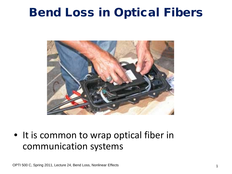# Bend Loss in Optical Fibers



• It is common to wrap optical fiber in communication systems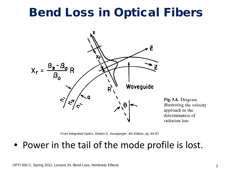# Bend Loss in Optical Fibers



Fig. 5.4. Diagram illustrating the velocity approach to the determination of radiation loss

From *Integrated Optics*, Robert G. Hunsperger, 4th Edition, pp. 84-87.

• Power in the tail of the mode profile is lost.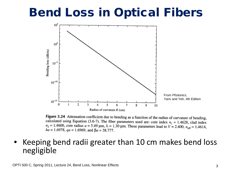# Bend Loss in Optical Fibers



Figure 3.24 Attenuation coefficient due to bending as a function of the radius of curvature of bending, calculated using Equation (3.6-7). The fiber parameters used are: core index  $n_1 = 1.4628$ , clad index  $n_2 = 1.4600$ , core radius  $a = 5.49 \text{ µm}$ ,  $\lambda = 1.30 \text{ µm}$ . These parameters lead to  $V = 2.400$ ,  $n_{\text{eff}} = 1.4614$ ,  $ha = 1.6978$ ,  $qa = 1.6969$ , and  $Ba = 38.777$ .

### • Keeping bend radii greater than 10 cm makes bend loss negligible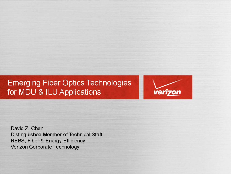



David Z. Chen Distinguished Member of Technical Staff **NEBS, Fiber & Energy Efficiency** Verizon Corporate Technology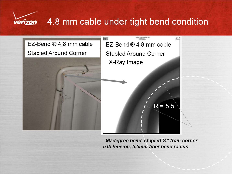

### 4.8 mm cable under tight bend condition



90 degree bend, stapled 3/4" from corner 5 lb tension, 5.5mm fiber bend radius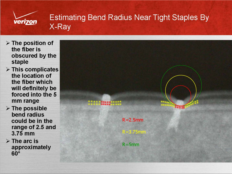

### **Estimating Bend Radius Near Tight Staples By** X-Ray

- $\triangleright$  The position of the fiber is obscured by the staple
- $\triangleright$  This complicates the location of the fiber which will definitely be forced into the 5 mm range
- $\triangleright$  The possible bend radius could be in the range of 2.5 and 3.75 mm
- $\triangleright$  The arc is approximately  $60^\circ$

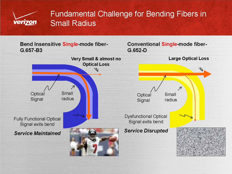

### **Fundamental Challenge for Bending Fibers in Small Radius**

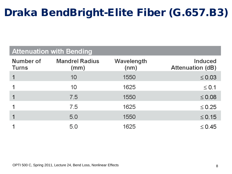### Draka BendBright-Elite Fiber (G.657.B3)

#### **Attenuation with Bending**

| Number of<br><b>Turns</b> | <b>Mandrel Radius</b><br>(mm) | Wavelength<br>(nm) | <b>Induced</b><br><b>Attenuation (dB)</b> |
|---------------------------|-------------------------------|--------------------|-------------------------------------------|
|                           | 10                            | 1550               | $\leq 0.03$                               |
|                           | 10                            | 1625               | $\leq$ 0.1                                |
|                           | 7.5                           | 1550               | $\leq 0.08$                               |
|                           | 7.5                           | 1625               | $\leq 0.25$                               |
|                           | 5.0                           | 1550               | $\leq$ 0.15                               |
|                           | 5.0                           | 1625               | $\leq$ 0.45                               |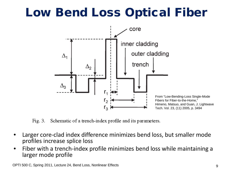# Low Bend Loss Optical Fiber



Fig.  $3$ . Schematic of a trench-index profile and its parameters.

- Larger core-clad index difference minimizes bend loss, but smaller mode profiles increase splice loss
- Fiber with a trench-index profile minimizes bend loss while maintaining a larger mode profile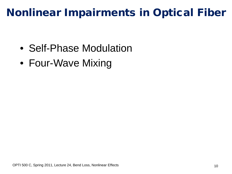## Nonlinear Impairments in Optical Fiber

- Self-Phase Modulation
- Four-Wave Mixing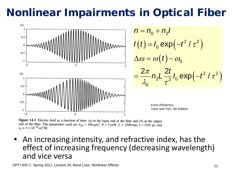# Nonlinear Impairments in Optical Fiber



Figure 14.1 Electric field as a function of time: (a) at the input end of the fiber and (b) at the output end of the fiber. The parameters used are  $A_{\text{eff}} = 100 \mu \text{m}^2$ ,  $P = 5 \text{ mW}$ ,  $L = 2500 \text{ km}$ ,  $\tau = 0.05 \text{ ps}$ , and  $n_2 = 3 \times 10^{-20}$  m<sup>2</sup>/W.

• An increasing intensity, and refractive index, has the effect of increasing frequency (decreasing wavelength) and vice versa

OPTI 500 C, Spring 2011, Lecture 24, Bend Loss, Nonlinear Effects 11